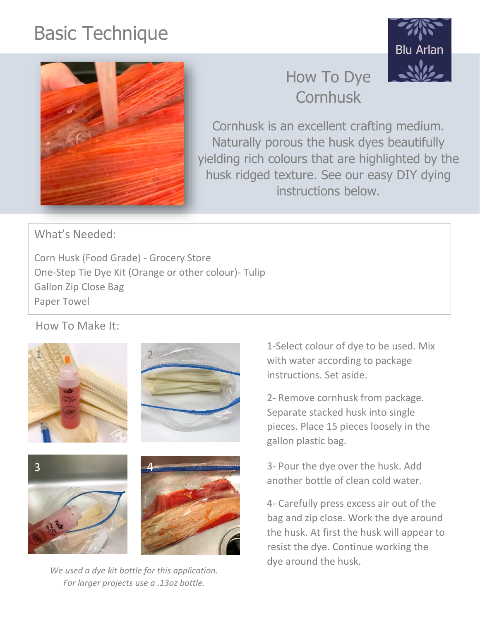## Basic Technique





## How To Dye **Cornhusk**

Cornhusk is an excellent crafting medium. Naturally porous the husk dyes beautifully yielding rich colours that are highlighted by the husk ridged texture. See our easy DIY dying instructions below.

What's Needed:

Corn Husk (Food Grade) - Grocery Store One-Step Tie Dye Kit (Orange or other colour)- Tulip Gallon Zip Close Bag Paper Towel

How To Make It:



*We used a dye kit bottle for this application. For larger projects use a .13oz bottle.*

1-Select colour of dye to be used. Mix with water according to package instructions. Set aside.

2- Remove cornhusk from package. Separate stacked husk into single pieces. Place 15 pieces loosely in the gallon plastic bag.

3- Pour the dye over the husk. Add another bottle of clean cold water.

4- Carefully press excess air out of the bag and zip close. Work the dye around the husk. At first the husk will appear to resist the dye. Continue working the dye around the husk.